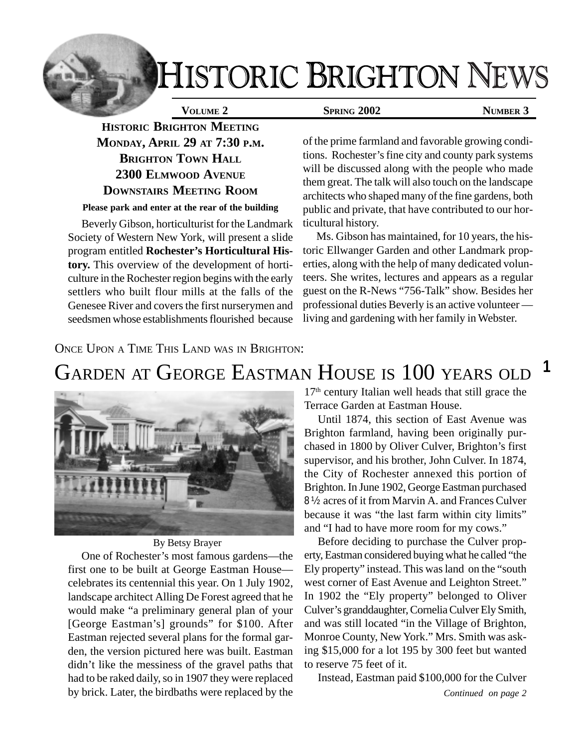# **IISTORIC BRIGHTON NEWS**

**HISTORIC BRIGHTON MEETING MONDAY, APRIL 29 AT 7:30 P.M. BRIGHTON TOWN HALL 2300 ELMWOOD AVENUE DOWNSTAIRS MEETING ROOM**

#### **Please park and enter at the rear of the building**

Beverly Gibson, horticulturist for the Landmark Society of Western New York, will present a slide program entitled **Rochester's Horticultural History.** This overview of the development of horticulture in the Rochester region begins with the early settlers who built flour mills at the falls of the Genesee River and covers the first nurserymen and seedsmen whose establishments flourished because

### **VOLUME 2** SPRING 2002 NUMBER 3

of the prime farmland and favorable growing conditions. Rochester's fine city and county park systems will be discussed along with the people who made them great. The talk will also touch on the landscape architects who shaped many of the fine gardens, both public and private, that have contributed to our horticultural history.

Ms. Gibson has maintained, for 10 years, the historic Ellwanger Garden and other Landmark properties, along with the help of many dedicated volunteers. She writes, lectures and appears as a regular guest on the R-News "756-Talk" show. Besides her professional duties Beverly is an active volunteer living and gardening with her family in Webster.

### ONCE UPON A TIME THIS LAND WAS IN BRIGHTON:

#### **1** GARDEN AT GEORGE EASTMAN HOUSE IS 100 YEARS OLD



### By Betsy Brayer

One of Rochester's most famous gardens—the first one to be built at George Eastman House celebrates its centennial this year. On 1 July 1902, landscape architect Alling De Forest agreed that he would make "a preliminary general plan of your [George Eastman's] grounds" for \$100. After Eastman rejected several plans for the formal garden, the version pictured here was built. Eastman didn't like the messiness of the gravel paths that had to be raked daily, so in 1907 they were replaced by brick. Later, the birdbaths were replaced by the 17<sup>th</sup> century Italian well heads that still grace the Terrace Garden at Eastman House.

Until 1874, this section of East Avenue was Brighton farmland, having been originally purchased in 1800 by Oliver Culver, Brighton's first supervisor, and his brother, John Culver. In 1874, the City of Rochester annexed this portion of Brighton. In June 1902, George Eastman purchased 8 ½ acres of it from Marvin A. and Frances Culver because it was "the last farm within city limits" and "I had to have more room for my cows."

Before deciding to purchase the Culver property, Eastman considered buying what he called "the Ely property" instead. This was land on the "south west corner of East Avenue and Leighton Street." In 1902 the "Ely property" belonged to Oliver Culver's granddaughter, Cornelia Culver Ely Smith, and was still located "in the Village of Brighton, Monroe County, New York." Mrs. Smith was asking \$15,000 for a lot 195 by 300 feet but wanted to reserve 75 feet of it.

Instead, Eastman paid \$100,000 for the Culver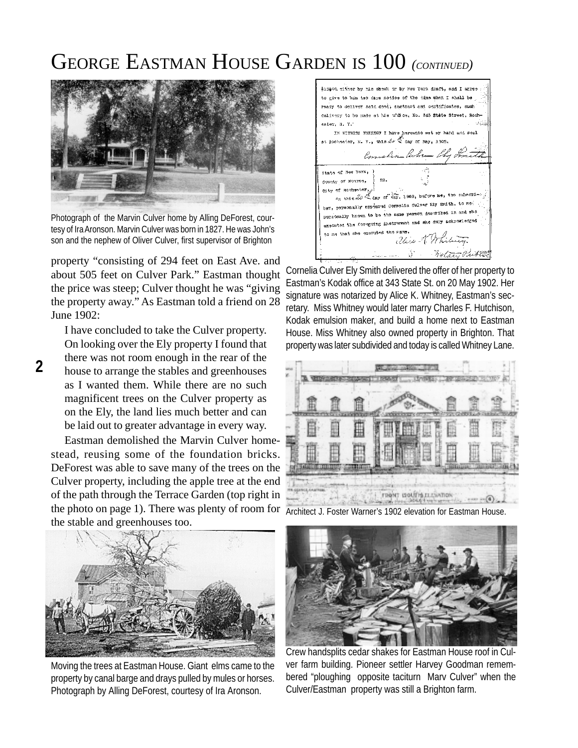### GEORGE EASTMAN HOUSE GARDEN IS 100 *(CONTINUED)*



Photograph of the Marvin Culver home by Alling DeForest, courtesy of Ira Aronson. Marvin Culver was born in 1827. He was John's son and the nephew of Oliver Culver, first supervisor of Brighton

property "consisting of 294 feet on East Ave. and about 505 feet on Culver Park." Eastman thought the price was steep; Culver thought he was "giving the property away." As Eastman told a friend on 28 June 1902:

I have concluded to take the Culver property. On looking over the Ely property I found that there was not room enough in the rear of the house to arrange the stables and greenhouses as I wanted them. While there are no such magnificent trees on the Culver property as on the Ely, the land lies much better and can be laid out to greater advantage in every way.

Eastman demolished the Marvin Culver homestead, reusing some of the foundation bricks. DeForest was able to save many of the trees on the Culver property, including the apple tree at the end of the path through the Terrace Garden (top right in the photo on page 1). There was plenty of room for the stable and greenhouses too.



Moving the trees at Eastman House. Giant elms came to the property by canal barge and drays pulled by mules or horses. Photograph by Alling DeForest, courtesy of Ira Aronson.

\$15000 either by his check or by Kaw York Araft, and I save to give to him two days notice of the time when I shall be ready to deliver said deed, abstract and certificates, such delivery to be made at his office. No. 343 State Street, Rochester, N. Y.<sup>4</sup> IN WITNESS WHEREOF I have gereunto set my hand and seal at Rochester, N. Y., this  $2e \propto \tan x$  of May, 1903. Connalia Cubin Chy Ini State of New York dounty of Monros, city of Roonsster or theorement).  $\mathcal{L}$  day of Way, 1902, before me, the subscriber, personally appeared cornelia Gulver Ely Smith, to me personally known to be the same person described in and mho.<br>personally known to be the same person described in and mho. executed the foregoing instrument and ane duly acknowledged to me that she excouted the same. alice K. Whi a Andrew Wolter Pribles

Cornelia Culver Ely Smith delivered the offer of her property to Eastman's Kodak office at 343 State St. on 20 May 1902. Her signature was notarized by Alice K. Whitney, Eastman's secretary. Miss Whitney would later marry Charles F. Hutchison, Kodak emulsion maker, and build a home next to Eastman House. Miss Whitney also owned property in Brighton. That property was later subdivided and today is called Whitney Lane.



Architect J. Foster Warner's 1902 elevation for Eastman House.



Crew handsplits cedar shakes for Eastman House roof in Culver farm building. Pioneer settler Harvey Goodman remembered "ploughing opposite taciturn Marv Culver" when the Culver/Eastman property was still a Brighton farm.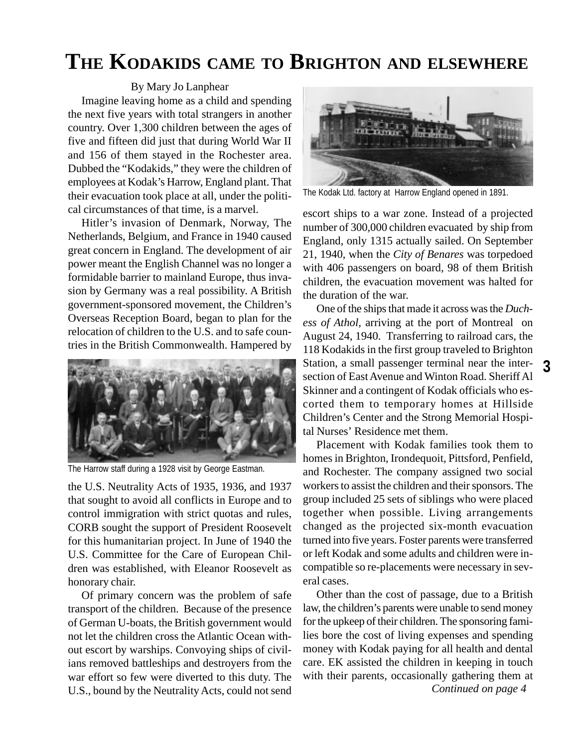### **THE KODAKIDS CAME TO BRIGHTON AND ELSEWHERE**

By Mary Jo Lanphear

Imagine leaving home as a child and spending the next five years with total strangers in another country. Over 1,300 children between the ages of five and fifteen did just that during World War II and 156 of them stayed in the Rochester area. Dubbed the "Kodakids," they were the children of employees at Kodak's Harrow, England plant. That their evacuation took place at all, under the political circumstances of that time, is a marvel.

Hitler's invasion of Denmark, Norway, The Netherlands, Belgium, and France in 1940 caused great concern in England. The development of air power meant the English Channel was no longer a formidable barrier to mainland Europe, thus invasion by Germany was a real possibility. A British government-sponsored movement, the Children's Overseas Reception Board, began to plan for the relocation of children to the U.S. and to safe countries in the British Commonwealth. Hampered by



The Harrow staff during a 1928 visit by George Eastman.

the U.S. Neutrality Acts of 1935, 1936, and 1937 that sought to avoid all conflicts in Europe and to control immigration with strict quotas and rules, CORB sought the support of President Roosevelt for this humanitarian project. In June of 1940 the U.S. Committee for the Care of European Children was established, with Eleanor Roosevelt as honorary chair.

Of primary concern was the problem of safe transport of the children. Because of the presence of German U-boats, the British government would not let the children cross the Atlantic Ocean without escort by warships. Convoying ships of civilians removed battleships and destroyers from the war effort so few were diverted to this duty. The U.S., bound by the Neutrality Acts, could not send



The Kodak Ltd. factory at Harrow England opened in 1891.

escort ships to a war zone. Instead of a projected number of 300,000 children evacuated by ship from England, only 1315 actually sailed. On September 21, 1940, when the *City of Benares* was torpedoed with 406 passengers on board, 98 of them British children, the evacuation movement was halted for the duration of the war.

One of the ships that made it across was the *Duchess of Athol,* arriving at the port of Montreal on August 24, 1940. Transferring to railroad cars, the 118 Kodakids in the first group traveled to Brighton Station, a small passenger terminal near the intersection of East Avenue and Winton Road. Sheriff Al Skinner and a contingent of Kodak officials who escorted them to temporary homes at Hillside Children's Center and the Strong Memorial Hospital Nurses' Residence met them.

Placement with Kodak families took them to homes in Brighton, Irondequoit, Pittsford, Penfield, and Rochester. The company assigned two social workers to assist the children and their sponsors. The group included 25 sets of siblings who were placed together when possible. Living arrangements changed as the projected six-month evacuation turned into five years. Foster parents were transferred or left Kodak and some adults and children were incompatible so re-placements were necessary in several cases.

Other than the cost of passage, due to a British law, the children's parents were unable to send money for the upkeep of their children. The sponsoring families bore the cost of living expenses and spending money with Kodak paying for all health and dental care. EK assisted the children in keeping in touch with their parents, occasionally gathering them at *Continued on page 4*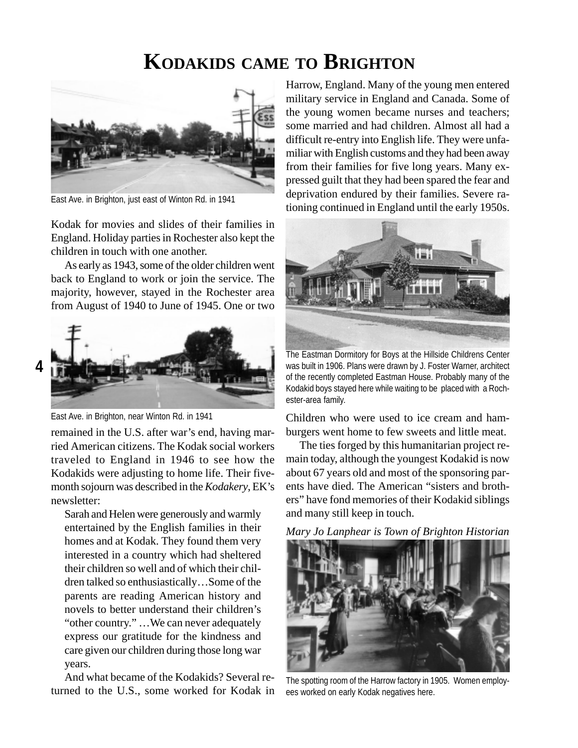### **KODAKIDS CAME TO BRIGHTON**



East Ave. in Brighton, just east of Winton Rd. in 1941

Kodak for movies and slides of their families in England. Holiday parties in Rochester also kept the children in touch with one another.

As early as 1943, some of the older children went back to England to work or join the service. The majority, however, stayed in the Rochester area from August of 1940 to June of 1945. One or two



East Ave. in Brighton, near Winton Rd. in 1941

remained in the U.S. after war's end, having married American citizens. The Kodak social workers traveled to England in 1946 to see how the Kodakids were adjusting to home life. Their fivemonth sojourn was described in the *Kodakery*, EK's newsletter:

Sarah and Helen were generously and warmly entertained by the English families in their homes and at Kodak. They found them very interested in a country which had sheltered their children so well and of which their children talked so enthusiastically…Some of the parents are reading American history and novels to better understand their children's "other country." …We can never adequately express our gratitude for the kindness and care given our children during those long war years.

And what became of the Kodakids? Several returned to the U.S., some worked for Kodak in Harrow, England. Many of the young men entered military service in England and Canada. Some of the young women became nurses and teachers; some married and had children. Almost all had a difficult re-entry into English life. They were unfamiliar with English customs and they had been away from their families for five long years. Many expressed guilt that they had been spared the fear and deprivation endured by their families. Severe rationing continued in England until the early 1950s.



The Eastman Dormitory for Boys at the Hillside Childrens Center was built in 1906. Plans were drawn by J. Foster Warner, architect of the recently completed Eastman House. Probably many of the Kodakid boys stayed here while waiting to be placed with a Rochester-area family.

Children who were used to ice cream and hamburgers went home to few sweets and little meat.

The ties forged by this humanitarian project remain today, although the youngest Kodakid is now about 67 years old and most of the sponsoring parents have died. The American "sisters and brothers" have fond memories of their Kodakid siblings and many still keep in touch.

*Mary Jo Lanphear is Town of Brighton Historian*



The spotting room of the Harrow factory in 1905. Women employees worked on early Kodak negatives here.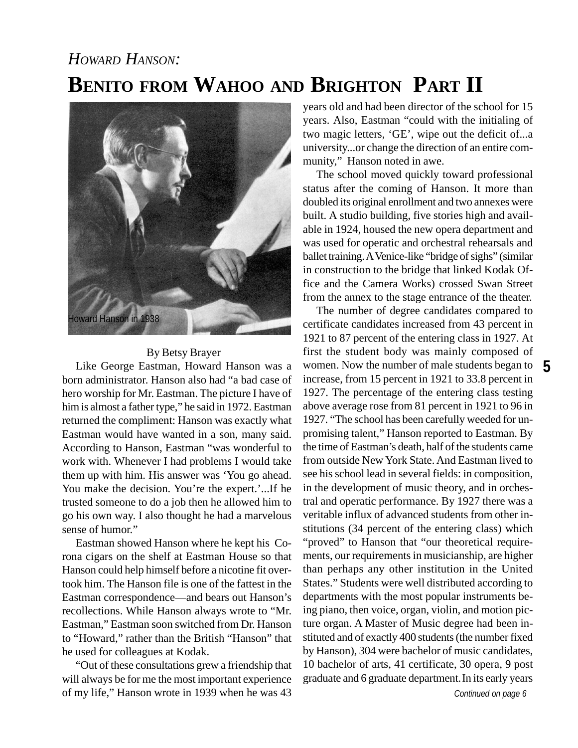## **BENITO FROM WAHOO AND BRIGHTON PART II** *HOWARD HANSON:*



### By Betsy Brayer

Like George Eastman, Howard Hanson was a born administrator. Hanson also had "a bad case of hero worship for Mr. Eastman. The picture I have of him is almost a father type," he said in 1972. Eastman returned the compliment: Hanson was exactly what Eastman would have wanted in a son, many said. According to Hanson, Eastman "was wonderful to work with. Whenever I had problems I would take them up with him. His answer was 'You go ahead. You make the decision. You're the expert.'...If he trusted someone to do a job then he allowed him to go his own way. I also thought he had a marvelous sense of humor."

Eastman showed Hanson where he kept his Corona cigars on the shelf at Eastman House so that Hanson could help himself before a nicotine fit overtook him. The Hanson file is one of the fattest in the Eastman correspondence—and bears out Hanson's recollections. While Hanson always wrote to "Mr. Eastman," Eastman soon switched from Dr. Hanson to "Howard," rather than the British "Hanson" that he used for colleagues at Kodak.

"Out of these consultations grew a friendship that will always be for me the most important experience of my life," Hanson wrote in 1939 when he was 43

years old and had been director of the school for 15 years. Also, Eastman "could with the initialing of two magic letters, 'GE', wipe out the deficit of...a university...or change the direction of an entire community," Hanson noted in awe.

The school moved quickly toward professional status after the coming of Hanson. It more than doubled its original enrollment and two annexes were built. A studio building, five stories high and available in 1924, housed the new opera department and was used for operatic and orchestral rehearsals and ballet training. A Venice-like "bridge of sighs" (similar in construction to the bridge that linked Kodak Office and the Camera Works) crossed Swan Street from the annex to the stage entrance of the theater.

women. Now the number of male students began to 5 The number of degree candidates compared to certificate candidates increased from 43 percent in 1921 to 87 percent of the entering class in 1927. At first the student body was mainly composed of increase, from 15 percent in 1921 to 33.8 percent in 1927. The percentage of the entering class testing above average rose from 81 percent in 1921 to 96 in 1927. "The school has been carefully weeded for unpromising talent," Hanson reported to Eastman. By the time of Eastman's death, half of the students came from outside New York State. And Eastman lived to see his school lead in several fields: in composition, in the development of music theory, and in orchestral and operatic performance. By 1927 there was a veritable influx of advanced students from other institutions (34 percent of the entering class) which "proved" to Hanson that "our theoretical requirements, our requirements in musicianship, are higher than perhaps any other institution in the United States." Students were well distributed according to departments with the most popular instruments being piano, then voice, organ, violin, and motion picture organ. A Master of Music degree had been instituted and of exactly 400 students (the number fixed by Hanson), 304 were bachelor of music candidates, 10 bachelor of arts, 41 certificate, 30 opera, 9 post graduate and 6 graduate department.In its early years

*Continued on page 6*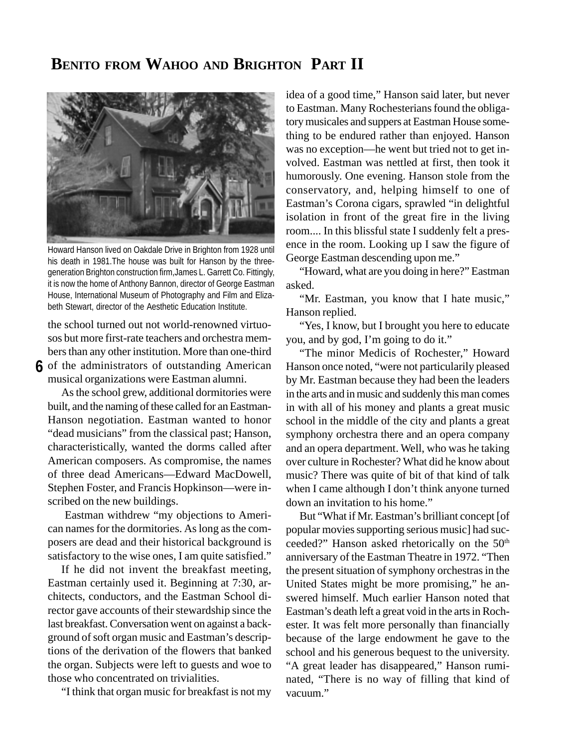### **BENITO FROM WAHOO AND BRIGHTON PART II**



Howard Hanson lived on Oakdale Drive in Brighton from 1928 until his death in 1981.The house was built for Hanson by the threegeneration Brighton construction firm,James L. Garrett Co. Fittingly, it is now the home of Anthony Bannon, director of George Eastman House, International Museum of Photography and Film and Elizabeth Stewart, director of the Aesthetic Education Institute.

**6** of the administrators of outstanding American the school turned out not world-renowned virtuosos but more first-rate teachers and orchestra members than any other institution. More than one-third musical organizations were Eastman alumni.

As the school grew, additional dormitories were built, and the naming of these called for an Eastman-Hanson negotiation. Eastman wanted to honor "dead musicians" from the classical past; Hanson, characteristically, wanted the dorms called after American composers. As compromise, the names of three dead Americans—Edward MacDowell, Stephen Foster, and Francis Hopkinson—were inscribed on the new buildings.

 Eastman withdrew "my objections to American names for the dormitories. As long as the composers are dead and their historical background is satisfactory to the wise ones, I am quite satisfied."

If he did not invent the breakfast meeting, Eastman certainly used it. Beginning at 7:30, architects, conductors, and the Eastman School director gave accounts of their stewardship since the last breakfast. Conversation went on against a background of soft organ music and Eastman's descriptions of the derivation of the flowers that banked the organ. Subjects were left to guests and woe to those who concentrated on trivialities.

"I think that organ music for breakfast is not my

idea of a good time," Hanson said later, but never to Eastman. Many Rochesterians found the obligatory musicales and suppers at Eastman House something to be endured rather than enjoyed. Hanson was no exception—he went but tried not to get involved. Eastman was nettled at first, then took it humorously. One evening. Hanson stole from the conservatory, and, helping himself to one of Eastman's Corona cigars, sprawled "in delightful isolation in front of the great fire in the living room.... In this blissful state I suddenly felt a presence in the room. Looking up I saw the figure of George Eastman descending upon me."

"Howard, what are you doing in here?" Eastman asked.

"Mr. Eastman, you know that I hate music," Hanson replied.

"Yes, I know, but I brought you here to educate you, and by god, I'm going to do it."

"The minor Medicis of Rochester," Howard Hanson once noted, "were not particularily pleased by Mr. Eastman because they had been the leaders in the arts and in music and suddenly this man comes in with all of his money and plants a great music school in the middle of the city and plants a great symphony orchestra there and an opera company and an opera department. Well, who was he taking over culture in Rochester? What did he know about music? There was quite of bit of that kind of talk when I came although I don't think anyone turned down an invitation to his home."

But "What if Mr. Eastman's brilliant concept [of popular movies supporting serious music] had succeeded?" Hanson asked rhetorically on the 50<sup>th</sup> anniversary of the Eastman Theatre in 1972. "Then the present situation of symphony orchestras in the United States might be more promising," he answered himself. Much earlier Hanson noted that Eastman's death left a great void in the arts in Rochester. It was felt more personally than financially because of the large endowment he gave to the school and his generous bequest to the university. "A great leader has disappeared," Hanson ruminated, "There is no way of filling that kind of vacuum."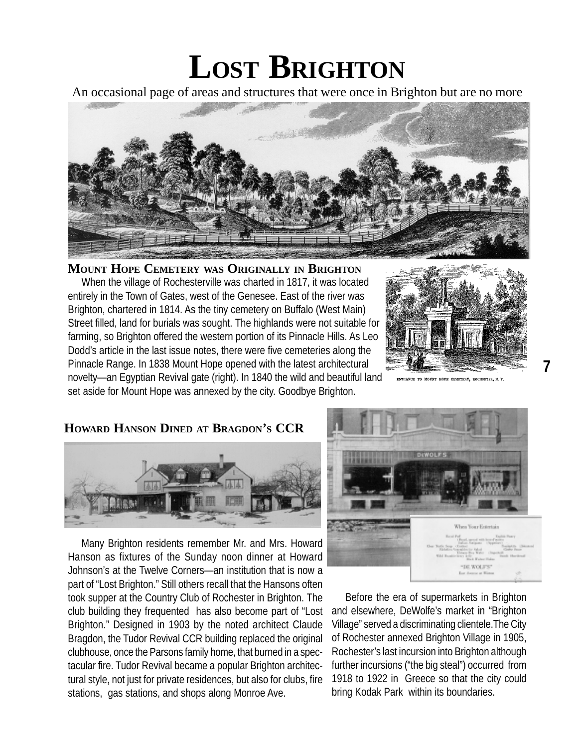## **LOST BRIGHTON**

An occasional page of areas and structures that were once in Brighton but are no more



**MOUNT HOPE CEMETERY WAS ORIGINALLY IN BRIGHTON** When the village of Rochesterville was charted in 1817, it was located entirely in the Town of Gates, west of the Genesee. East of the river was Brighton, chartered in 1814. As the tiny cemetery on Buffalo (West Main) Street filled, land for burials was sought. The highlands were not suitable for farming, so Brighton offered the western portion of its Pinnacle Hills. As Leo Dodd's article in the last issue notes, there were five cemeteries along the Pinnacle Range. In 1838 Mount Hope opened with the latest architectural novelty—an Egyptian Revival gate (right). In 1840 the wild and beautiful land set aside for Mount Hope was annexed by the city. Goodbye Brighton.



TO MOUNT HOPE CEMETERY, ROCHESTER, N.

**7**

### **HOWARD HANSON DINED AT BRAGDON'S CCR**



Many Brighton residents remember Mr. and Mrs. Howard Hanson as fixtures of the Sunday noon dinner at Howard Johnson's at the Twelve Corners—an institution that is now a part of "Lost Brighton." Still others recall that the Hansons often took supper at the Country Club of Rochester in Brighton. The club building they frequented has also become part of "Lost Brighton." Designed in 1903 by the noted architect Claude Bragdon, the Tudor Revival CCR building replaced the original clubhouse, once the Parsons family home, that burned in a spectacular fire. Tudor Revival became a popular Brighton architectural style, not just for private residences, but also for clubs, fire stations, gas stations, and shops along Monroe Ave.



Before the era of supermarkets in Brighton and elsewhere, DeWolfe's market in "Brighton Village" served a discriminating clientele.The City of Rochester annexed Brighton Village in 1905, Rochester's last incursion into Brighton although further incursions ("the big steal") occurred from 1918 to 1922 in Greece so that the city could bring Kodak Park within its boundaries.